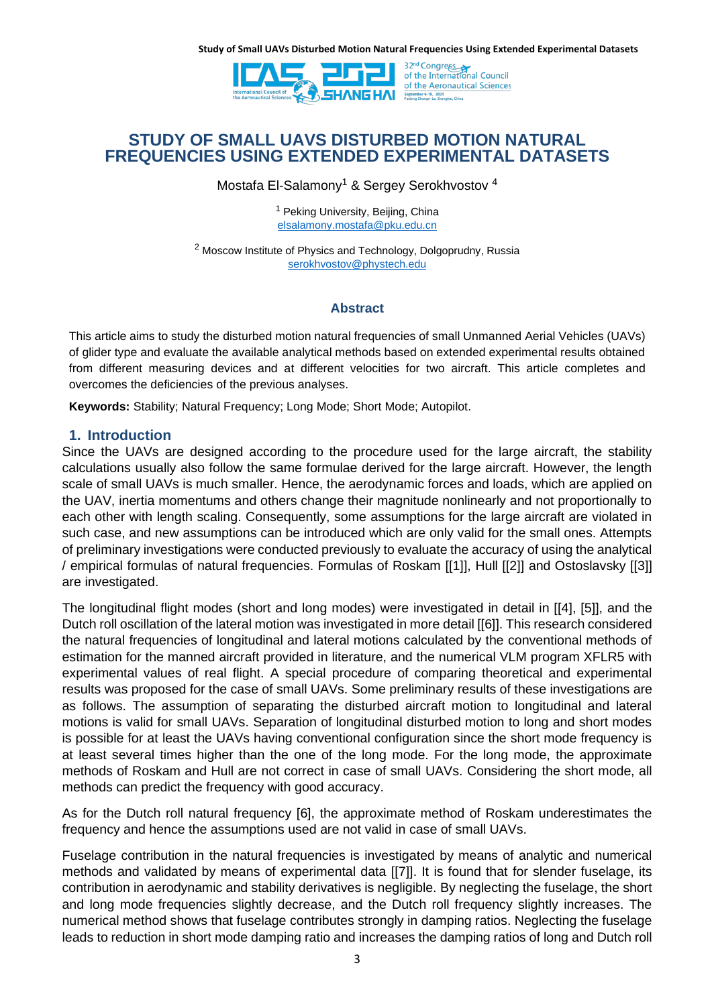

32<sup>nd</sup> Congress<br>of the International Council of the Aeronautical Sciences

# **STUDY OF SMALL UAVS DISTURBED MOTION NATURAL FREQUENCIES USING EXTENDED EXPERIMENTAL DATASETS**

Mostafa El-Salamony<sup>1</sup> & Sergey Serokhvostov<sup>4</sup>

<sup>1</sup> Peking University, Beijing, China [elsalamony.mostafa@pku.edu.cn](mailto:elsalamony.mostafa@pku.edu.cn)

<sup>2</sup> Moscow Institute of Physics and Technology, Dolgoprudny, Russia [serokhvostov@phystech.edu](mailto:serokhvostov@phystech.edu)

# **Abstract**

This article aims to study the disturbed motion natural frequencies of small Unmanned Aerial Vehicles (UAVs) of glider type and evaluate the available analytical methods based on extended experimental results obtained from different measuring devices and at different velocities for two aircraft. This article completes and overcomes the deficiencies of the previous analyses.

**Keywords:** Stability; Natural Frequency; Long Mode; Short Mode; Autopilot.

# **1. Introduction**

Since the UAVs are designed according to the procedure used for the large aircraft, the stability calculations usually also follow the same formulae derived for the large aircraft. However, the length scale of small UAVs is much smaller. Hence, the aerodynamic forces and loads, which are applied on the UAV, inertia momentums and others change their magnitude nonlinearly and not proportionally to each other with length scaling. Consequently, some assumptions for the large aircraft are violated in such case, and new assumptions can be introduced which are only valid for the small ones. Attempts of preliminary investigations were conducted previously to evaluate the accuracy of using the analytical / empirical formulas of natural frequencies. Formulas of Roskam [\[\[1\]\]](#page-10-0), Hull [\[\[2\]\]](#page-10-1) and Ostoslavsky [\[\[3\]\]](#page-10-2) are investigated.

The longitudinal flight modes (short and long modes) were investigated in detail in [\[\[4\],](#page-10-3) [\[5\]\]](#page-10-4), and the Dutch roll oscillation of the lateral motion was investigated in more detail [\[\[6\]\]](#page-10-5). This research considered the natural frequencies of longitudinal and lateral motions calculated by the conventional methods of estimation for the manned aircraft provided in literature, and the numerical VLM program XFLR5 with experimental values of real flight. A special procedure of comparing theoretical and experimental results was proposed for the case of small UAVs. Some preliminary results of these investigations are as follows. The assumption of separating the disturbed aircraft motion to longitudinal and lateral motions is valid for small UAVs. Separation of longitudinal disturbed motion to long and short modes is possible for at least the UAVs having conventional configuration since the short mode frequency is at least several times higher than the one of the long mode. For the long mode, the approximate methods of Roskam and Hull are not correct in case of small UAVs. Considering the short mode, all methods can predict the frequency with good accuracy.

As for the Dutch roll natural frequency [6], the approximate method of Roskam underestimates the frequency and hence the assumptions used are not valid in case of small UAVs.

Fuselage contribution in the natural frequencies is investigated by means of analytic and numerical methods and validated by means of experimental data [\[\[7\]\]](#page-10-6). It is found that for slender fuselage, its contribution in aerodynamic and stability derivatives is negligible. By neglecting the fuselage, the short and long mode frequencies slightly decrease, and the Dutch roll frequency slightly increases. The numerical method shows that fuselage contributes strongly in damping ratios. Neglecting the fuselage leads to reduction in short mode damping ratio and increases the damping ratios of long and Dutch roll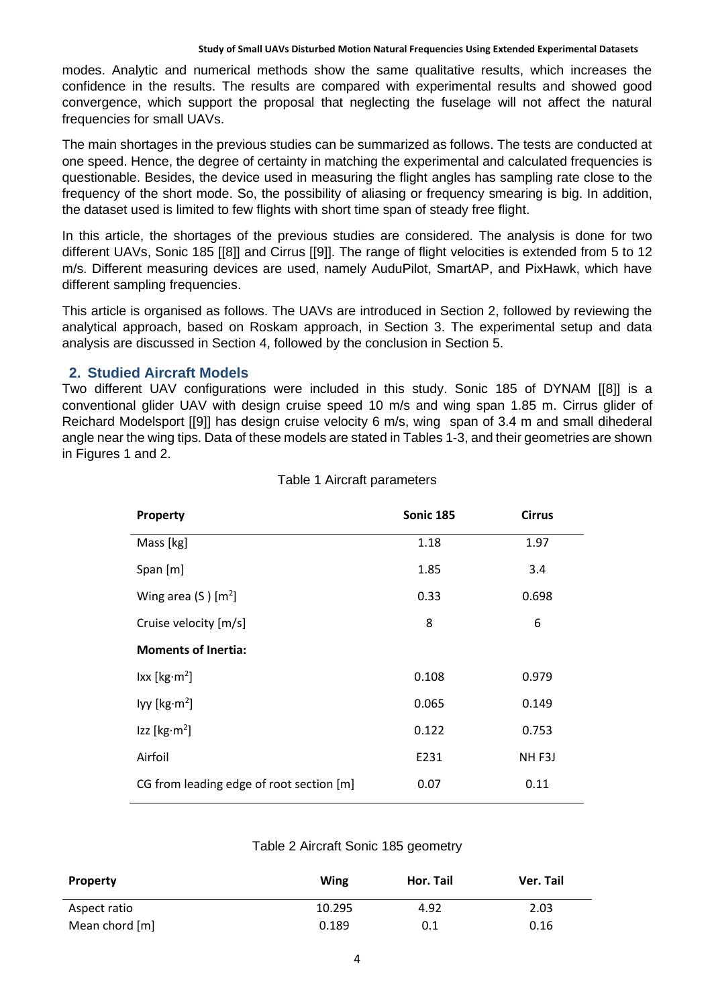modes. Analytic and numerical methods show the same qualitative results, which increases the confidence in the results. The results are compared with experimental results and showed good convergence, which support the proposal that neglecting the fuselage will not affect the natural frequencies for small UAVs.

The main shortages in the previous studies can be summarized as follows. The tests are conducted at one speed. Hence, the degree of certainty in matching the experimental and calculated frequencies is questionable. Besides, the device used in measuring the flight angles has sampling rate close to the frequency of the short mode. So, the possibility of aliasing or frequency smearing is big. In addition, the dataset used is limited to few flights with short time span of steady free flight.

In this article, the shortages of the previous studies are considered. The analysis is done for two different UAVs, Sonic 185 [\[\[8\]\]](#page-10-7) and Cirrus [\[\[9\]\]](#page-10-8). The range of flight velocities is extended from 5 to 12 m/s. Different measuring devices are used, namely AuduPilot, SmartAP, and PixHawk, which have different sampling frequencies.

This article is organised as follows. The UAVs are introduced in Section 2, followed by reviewing the analytical approach, based on Roskam approach, in Section 3. The experimental setup and data analysis are discussed in Section 4, followed by the conclusion in Section 5.

## **2. Studied Aircraft Models**

Two different UAV configurations were included in this study. Sonic 185 of DYNAM [\[\[8\]\]](#page-10-7) is a conventional glider UAV with design cruise speed 10 m/s and wing span 1.85 m. Cirrus glider of Reichard Modelsport [\[\[9\]\]](#page-10-8) has design cruise velocity 6 m/s, wing span of 3.4 m and small dihederal angle near the wing tips. Data of these models are stated in Tables 1-3, and their geometries are shown in Figures 1 and 2.

| Property                                 | <b>Sonic 185</b> | <b>Cirrus</b>     |
|------------------------------------------|------------------|-------------------|
| Mass [kg]                                | 1.18             | 1.97              |
| Span [m]                                 | 1.85             | 3.4               |
| Wing area $(S)$ [m <sup>2</sup> ]        | 0.33             | 0.698             |
| Cruise velocity [m/s]                    | 8                | 6                 |
| <b>Moments of Inertia:</b>               |                  |                   |
| lxx [kg·m <sup>2</sup> ]                 | 0.108            | 0.979             |
| lyy [ $kg·m2$ ]                          | 0.065            | 0.149             |
| $\textsf{Izz}$ [kg·m <sup>2</sup> ]      | 0.122            | 0.753             |
| Airfoil                                  | E231             | NH <sub>F3J</sub> |
| CG from leading edge of root section [m] | 0.07             | 0.11              |

### Table 1 Aircraft parameters

### Table 2 Aircraft Sonic 185 geometry

| <b>Property</b> | Wing   | Hor. Tail | Ver. Tail |
|-----------------|--------|-----------|-----------|
| Aspect ratio    | 10.295 | 4.92      | 2.03      |
| Mean chord [m]  | 0.189  | 0.1       | 0.16      |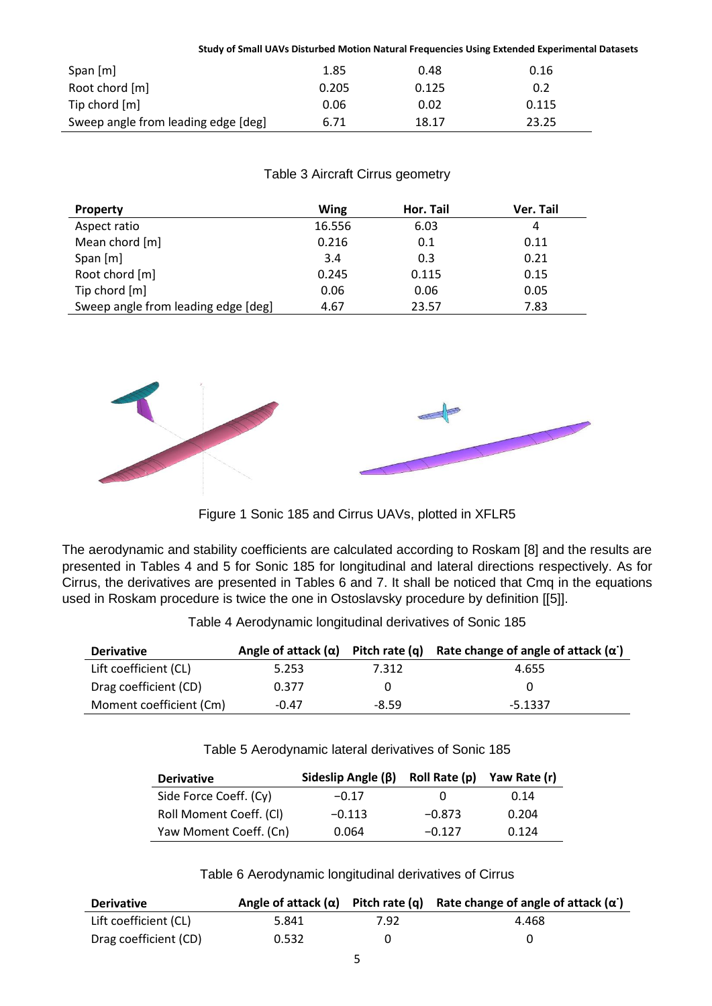|                                     |       |       | Study of Small UAVs Disturbed Motion Natural Frequencies Using Extended Experimental Datasets |  |
|-------------------------------------|-------|-------|-----------------------------------------------------------------------------------------------|--|
| Span [m]                            | 1.85  | 0.48  | 0.16                                                                                          |  |
| Root chord [m]                      | 0.205 | 0.125 | 0.2                                                                                           |  |
| Tip chord [m]                       | 0.06  | 0.02  | 0.115                                                                                         |  |
| Sweep angle from leading edge [deg] | 6.71  | 18.17 | 23.25                                                                                         |  |

# Table 3 Aircraft Cirrus geometry

| <b>Property</b>                     | <b>Wing</b> | Hor. Tail | Ver. Tail |
|-------------------------------------|-------------|-----------|-----------|
| Aspect ratio                        | 16.556      | 6.03      | 4         |
| Mean chord [m]                      | 0.216       | 0.1       | 0.11      |
| Span [m]                            | 3.4         | 0.3       | 0.21      |
| Root chord [m]                      | 0.245       | 0.115     | 0.15      |
| Tip chord [m]                       | 0.06        | 0.06      | 0.05      |
| Sweep angle from leading edge [deg] | 4.67        | 23.57     | 7.83      |



Figure 1 Sonic 185 and Cirrus UAVs, plotted in XFLR5

The aerodynamic and stability coefficients are calculated according to Roskam [8] and the results are presented in Tables 4 and 5 for Sonic 185 for longitudinal and lateral directions respectively. As for Cirrus, the derivatives are presented in Tables 6 and 7. It shall be noticed that Cmq in the equations used in Roskam procedure is twice the one in Ostoslavsky procedure by definition [\[\[5\]\]](#page-10-4).

| <b>Derivative</b>     |       |              | Angle of attack $(\alpha)$ Pitch rate $(q)$ Rate change of angle of attack $(\alpha)$ |
|-----------------------|-------|--------------|---------------------------------------------------------------------------------------|
| Lift coefficient (CL) | 5.253 | 7.312        | 4.655                                                                                 |
| Drag coefficient (CD) | 0.377 | $\mathbf{U}$ | n                                                                                     |

Moment coefficient (Cm)  $-0.47$   $-8.59$   $-5.1337$ 

Table 4 Aerodynamic longitudinal derivatives of Sonic 185

Table 5 Aerodynamic lateral derivatives of Sonic 185

| <b>Derivative</b>       | Sideslip Angle $(\beta)$ | Roll Rate (p) | Yaw Rate (r) |
|-------------------------|--------------------------|---------------|--------------|
| Side Force Coeff. (Cy)  | $-0.17$                  | 0             | 0.14         |
| Roll Moment Coeff. (CI) | $-0.113$                 | $-0.873$      | 0.204        |
| Yaw Moment Coeff. (Cn)  | 0.064                    | $-0.127$      | 0.124        |

Table 6 Aerodynamic longitudinal derivatives of Cirrus

| <b>Derivative</b>     |       |      | Angle of attack $(\alpha)$ Pitch rate $(q)$ Rate change of angle of attack $(\alpha)$ |
|-----------------------|-------|------|---------------------------------------------------------------------------------------|
| Lift coefficient (CL) | 5.841 | 7.92 | 4.468                                                                                 |
| Drag coefficient (CD) | 0.532 |      |                                                                                       |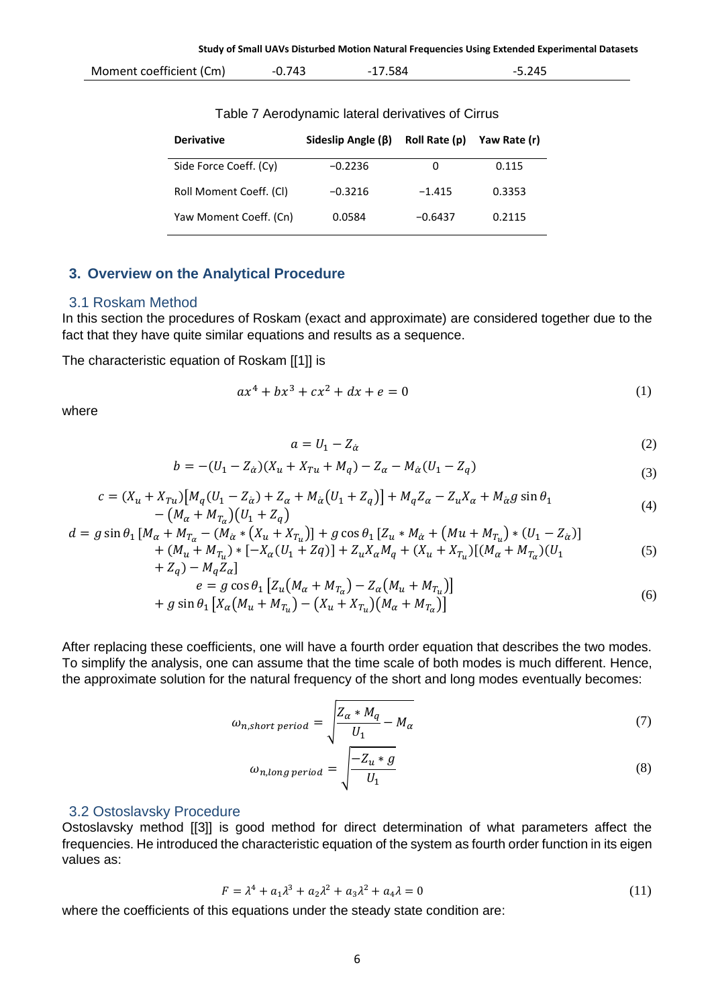| Moment coefficient (Cm) | 743<br>╍ | שכ. ' | つムロ<br>$\sim$ . $\sim$<br>᠇৴ |  |
|-------------------------|----------|-------|------------------------------|--|
|                         |          |       |                              |  |

Table 7 Aerodynamic lateral derivatives of Cirrus

| <b>Derivative</b>       | Sideslip Angle $(\beta)$ | Roll Rate (p) | Yaw Rate (r) |
|-------------------------|--------------------------|---------------|--------------|
| Side Force Coeff. (Cy)  | $-0.2236$                | 0             | 0.115        |
| Roll Moment Coeff. (CI) | $-0.3216$                | $-1.415$      | 0.3353       |
| Yaw Moment Coeff. (Cn)  | 0.0584                   | $-0.6437$     | 0.2115       |

# **3. Overview on the Analytical Procedure**

# 3.1 Roskam Method

In this section the procedures of Roskam (exact and approximate) are considered together due to the fact that they have quite similar equations and results as a sequence.

The characteristic equation of Roskam [\[\[1\]\]](#page-10-0) is

$$
ax^4 + bx^3 + cx^2 + dx + e = 0
$$
 (1)

where

$$
a = U_1 - Z_{\alpha} \tag{2}
$$

$$
b = -(U_1 - Z_{\alpha})(X_u + X_{Tu} + M_q) - Z_{\alpha} - M_{\alpha}(U_1 - Z_q)
$$
\n(3)

$$
c = (X_u + X_{Tu})[M_q(U_1 - Z_{\alpha}) + Z_{\alpha} + M_{\alpha}(U_1 + Z_q)] + M_q Z_{\alpha} - Z_u X_{\alpha} + M_{\alpha} g \sin \theta_1 - (M_{\alpha} + M_{T_{\alpha}})(U_1 + Z_q)
$$
\n(4)

$$
d = g \sin \theta_1 \left[ M_\alpha + M_{T_\alpha} - (M_\alpha * (X_u + X_{T_u})) + g \cos \theta_1 \left[ Z_u * M_\alpha + (Mu + M_{T_u}) * (U_1 - Z_\alpha) \right] \right] + (M_u + M_{T_u}) * [-X_\alpha (U_1 + Zq)] + Z_u X_\alpha M_q + (X_u + X_{T_u}) [(M_\alpha + M_{T_\alpha})(U_1 \qquad (5)
$$

$$
+ Z_q) - M_q Z_\alpha
$$
  
\n
$$
e = g \cos \theta_1 [Z_u (M_\alpha + M_{T_\alpha}) - Z_\alpha (M_u + M_{T_u})]
$$
  
\n
$$
+ g \sin \theta_1 [X_\alpha (M_u + M_{T_u}) - (X_u + X_{T_u}) (M_\alpha + M_{T_\alpha})]
$$
\n(6)

After replacing these coefficients, one will have a fourth order equation that describes the two modes. To simplify the analysis, one can assume that the time scale of both modes is much different. Hence, the approximate solution for the natural frequency of the short and long modes eventually becomes:

$$
\omega_{n,short\ period} = \sqrt{\frac{Z_{\alpha} * M_q}{U_1} - M_{\alpha}} \tag{7}
$$

$$
\omega_{n,long\ period} = \sqrt{\frac{-Z_u * g}{U_1}}\tag{8}
$$

### 3.2 Ostoslavsky Procedure

Ostoslavsky method [\[\[3\]\]](#page-10-2) is good method for direct determination of what parameters affect the frequencies. He introduced the characteristic equation of the system as fourth order function in its eigen values as:

$$
F = \lambda^4 + a_1 \lambda^3 + a_2 \lambda^2 + a_3 \lambda^2 + a_4 \lambda = 0
$$
 (11)

where the coefficients of this equations under the steady state condition are: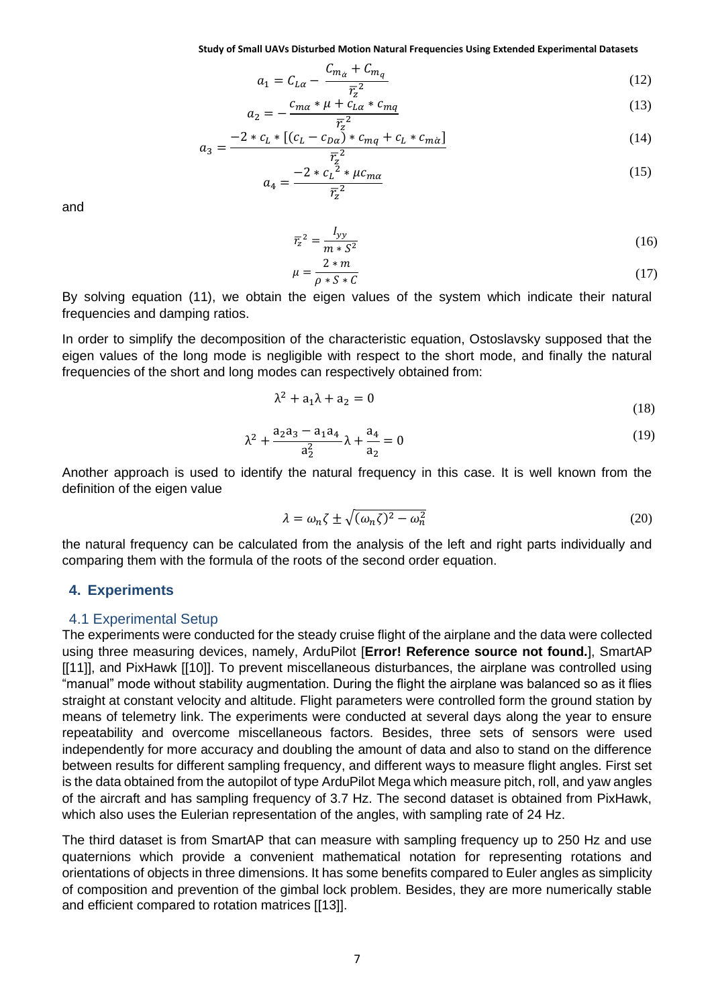$$
a_1 = C_{L\alpha} - \frac{C_{m\alpha} + C_{mq}}{\overline{r}_2^2} \tag{12}
$$

$$
a_2 = -\frac{c_{m\alpha} * \mu + c_{L\alpha}^2 * c_{mq}}{\overline{r}^2} \tag{13}
$$

$$
a_3 = \frac{-2 * c_L * [(c_L - c_{D\alpha}) * c_{mq} + c_L * c_{m\alpha}]}{\overline{r}^2}
$$
\n(14)

$$
a_4 = \frac{-2 * c_L^2 * \mu c_{m\alpha}}{\overline{r}_z^2} \tag{15}
$$

and

$$
\overline{r}_z^2 = \frac{I_{yy}}{m * S^2} \tag{16}
$$

$$
\mu = \frac{2 \cdot m}{\rho \cdot S \cdot C} \tag{17}
$$

By solving equation (11), we obtain the eigen values of the system which indicate their natural frequencies and damping ratios.

In order to simplify the decomposition of the characteristic equation, Ostoslavsky supposed that the eigen values of the long mode is negligible with respect to the short mode, and finally the natural frequencies of the short and long modes can respectively obtained from:

$$
\lambda^2 + a_1 \lambda + a_2 = 0 \tag{18}
$$

$$
\lambda^2 + \frac{a_2 a_3 - a_1 a_4}{a_2^2} \lambda + \frac{a_4}{a_2} = 0
$$
 (19)

Another approach is used to identify the natural frequency in this case. It is well known from the definition of the eigen value

$$
\lambda = \omega_n \zeta \pm \sqrt{(\omega_n \zeta)^2 - \omega_n^2} \tag{20}
$$

the natural frequency can be calculated from the analysis of the left and right parts individually and comparing them with the formula of the roots of the second order equation.

### **4. Experiments**

#### 4.1 Experimental Setup

The experiments were conducted for the steady cruise flight of the airplane and the data were collected using three measuring devices, namely, ArduPilot [**Error! Reference source not found.**], SmartAP [\[\[11\]\]](#page-10-9), and PixHawk [\[\[10\]\]](#page-10-10). To prevent miscellaneous disturbances, the airplane was controlled using "manual" mode without stability augmentation. During the flight the airplane was balanced so as it flies straight at constant velocity and altitude. Flight parameters were controlled form the ground station by means of telemetry link. The experiments were conducted at several days along the year to ensure repeatability and overcome miscellaneous factors. Besides, three sets of sensors were used independently for more accuracy and doubling the amount of data and also to stand on the difference between results for different sampling frequency, and different ways to measure flight angles. First set is the data obtained from the autopilot of type ArduPilot Mega which measure pitch, roll, and yaw angles of the aircraft and has sampling frequency of 3.7 Hz. The second dataset is obtained from PixHawk, which also uses the Eulerian representation of the angles, with sampling rate of 24 Hz.

The third dataset is from SmartAP that can measure with sampling frequency up to 250 Hz and use quaternions which provide a convenient mathematical notation for representing rotations and orientations of objects in three dimensions. It has some benefits compared to Euler angles as simplicity of composition and prevention of the gimbal lock problem. Besides, they are more numerically stable and efficient compared to rotation matrices [\[\[13\]\]](#page-10-11).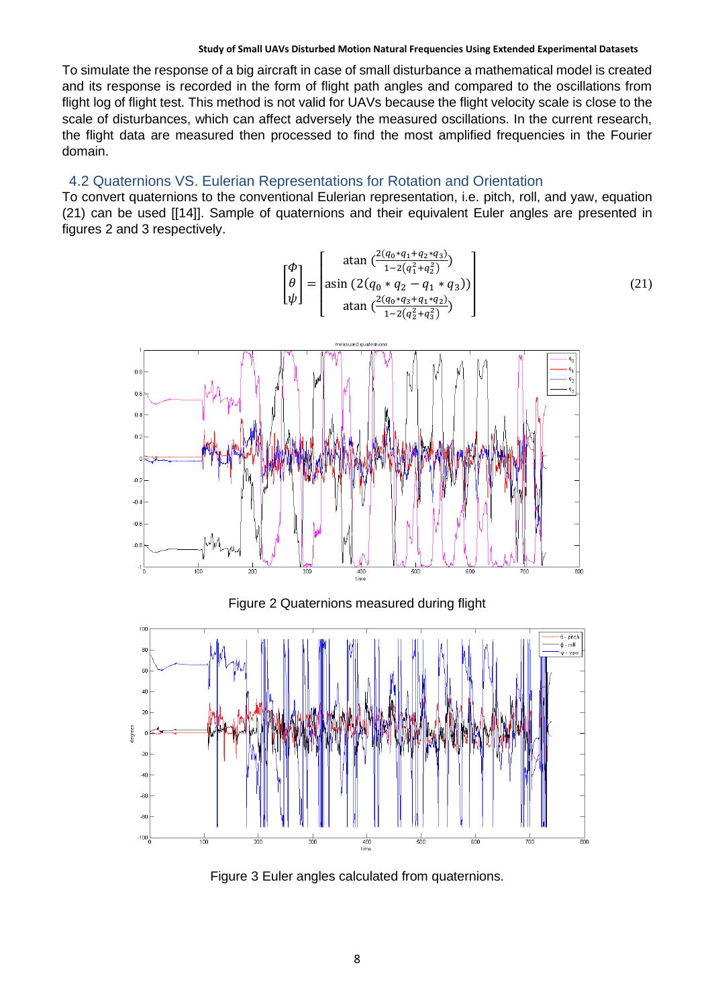To simulate the response of a big aircraft in case of small disturbance a mathematical model is created and its response is recorded in the form of flight path angles and compared to the oscillations from flight log of flight test. This method is not valid for UAVs because the flight velocity scale is close to the scale of disturbances, which can affect adversely the measured oscillations. In the current research, the flight data are measured then processed to find the most amplified frequencies in the Fourier domain.

# 4.2 Quaternions VS. Eulerian Representations for Rotation and Orientation

To convert quaternions to the conventional Eulerian representation, i.e. pitch, roll, and yaw, equation (21) can be used [\[\[14\]\]](#page-10-12). Sample of quaternions and their equivalent Euler angles are presented in figures 2 and 3 respectively.

$$
\begin{bmatrix} \phi \\ \theta \\ \psi \end{bmatrix} = \begin{bmatrix} \text{atan } \left( \frac{2(q_0 * q_1 + q_2 * q_3)}{1 - 2(q_1^2 + q_2^2)} \right) \\ \text{asin } \left( 2(q_0 * q_2 - q_1 * q_3) \right) \\ \text{atan } \left( \frac{2(q_0 * q_3 + q_1 * q_2)}{1 - 2(q_2^2 + q_3^2)} \right) \end{bmatrix} \tag{21}
$$



### Figure 2 Quaternions measured during flight



Figure 3 Euler angles calculated from quaternions.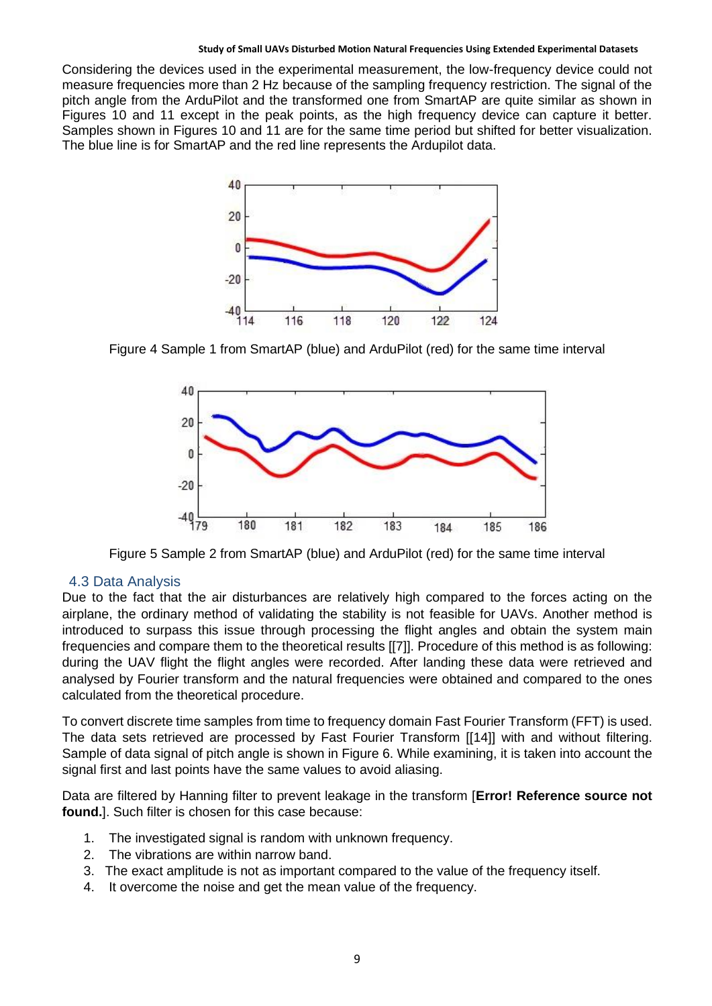Considering the devices used in the experimental measurement, the low-frequency device could not measure frequencies more than 2 Hz because of the sampling frequency restriction. The signal of the pitch angle from the ArduPilot and the transformed one from SmartAP are quite similar as shown in Figures 10 and 11 except in the peak points, as the high frequency device can capture it better. Samples shown in Figures 10 and 11 are for the same time period but shifted for better visualization. The blue line is for SmartAP and the red line represents the Ardupilot data.



Figure 4 Sample 1 from SmartAP (blue) and ArduPilot (red) for the same time interval



Figure 5 Sample 2 from SmartAP (blue) and ArduPilot (red) for the same time interval

## 4.3 Data Analysis

Due to the fact that the air disturbances are relatively high compared to the forces acting on the airplane, the ordinary method of validating the stability is not feasible for UAVs. Another method is introduced to surpass this issue through processing the flight angles and obtain the system main frequencies and compare them to the theoretical results [\[\[7\]\]](#page-10-6). Procedure of this method is as following: during the UAV flight the flight angles were recorded. After landing these data were retrieved and analysed by Fourier transform and the natural frequencies were obtained and compared to the ones calculated from the theoretical procedure.

To convert discrete time samples from time to frequency domain Fast Fourier Transform (FFT) is used. The data sets retrieved are processed by Fast Fourier Transform [\[\[14\]\]](#page-10-13) with and without filtering. Sample of data signal of pitch angle is shown in Figure 6. While examining, it is taken into account the signal first and last points have the same values to avoid aliasing.

Data are filtered by Hanning filter to prevent leakage in the transform [**Error! Reference source not found.**]. Such filter is chosen for this case because:

- 1. The investigated signal is random with unknown frequency.
- 2. The vibrations are within narrow band.
- 3. The exact amplitude is not as important compared to the value of the frequency itself.
- 4. It overcome the noise and get the mean value of the frequency.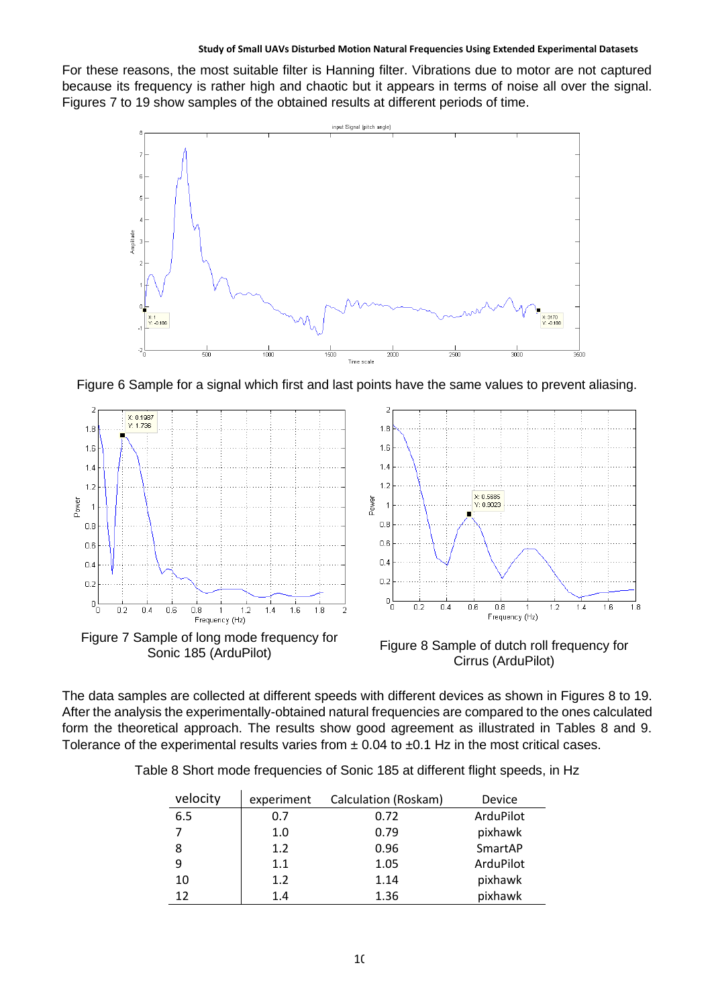For these reasons, the most suitable filter is Hanning filter. Vibrations due to motor are not captured because its frequency is rather high and chaotic but it appears in terms of noise all over the signal. Figures 7 to 19 show samples of the obtained results at different periods of time.



Figure 6 Sample for a signal which first and last points have the same values to prevent aliasing.



The data samples are collected at different speeds with different devices as shown in Figures 8 to 19. After the analysis the experimentally-obtained natural frequencies are compared to the ones calculated form the theoretical approach. The results show good agreement as illustrated in Tables 8 and 9. Tolerance of the experimental results varies from  $\pm$  0.04 to  $\pm$ 0.1 Hz in the most critical cases.

|  |  |  |  | Table 8 Short mode frequencies of Sonic 185 at different flight speeds, in Hz |
|--|--|--|--|-------------------------------------------------------------------------------|
|--|--|--|--|-------------------------------------------------------------------------------|

| velocity | experiment | Calculation (Roskam) | Device    |
|----------|------------|----------------------|-----------|
| 6.5      | 0.7        | 0.72                 | ArduPilot |
| 7        | 1.0        | 0.79                 | pixhawk   |
| 8        | 1.2        | 0.96                 | SmartAP   |
| 9        | 1.1        | 1.05                 | ArduPilot |
| 10       | 1.2        | 1.14                 | pixhawk   |
| 12       | 1.4        | 1.36                 | pixhawk   |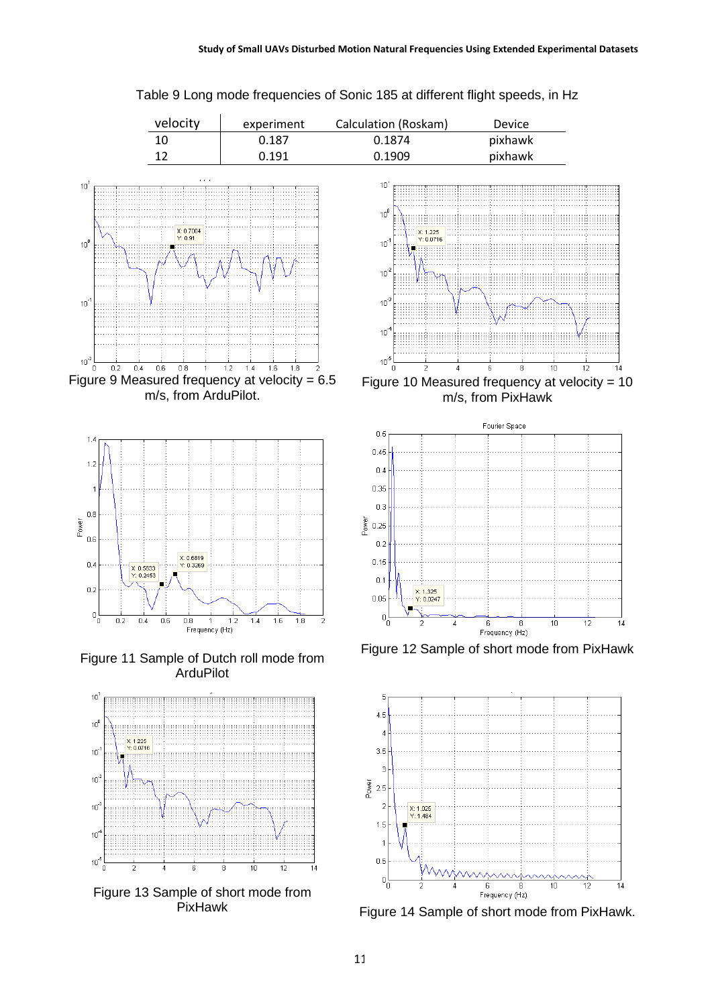

### Table 9 Long mode frequencies of Sonic 185 at different flight speeds, in Hz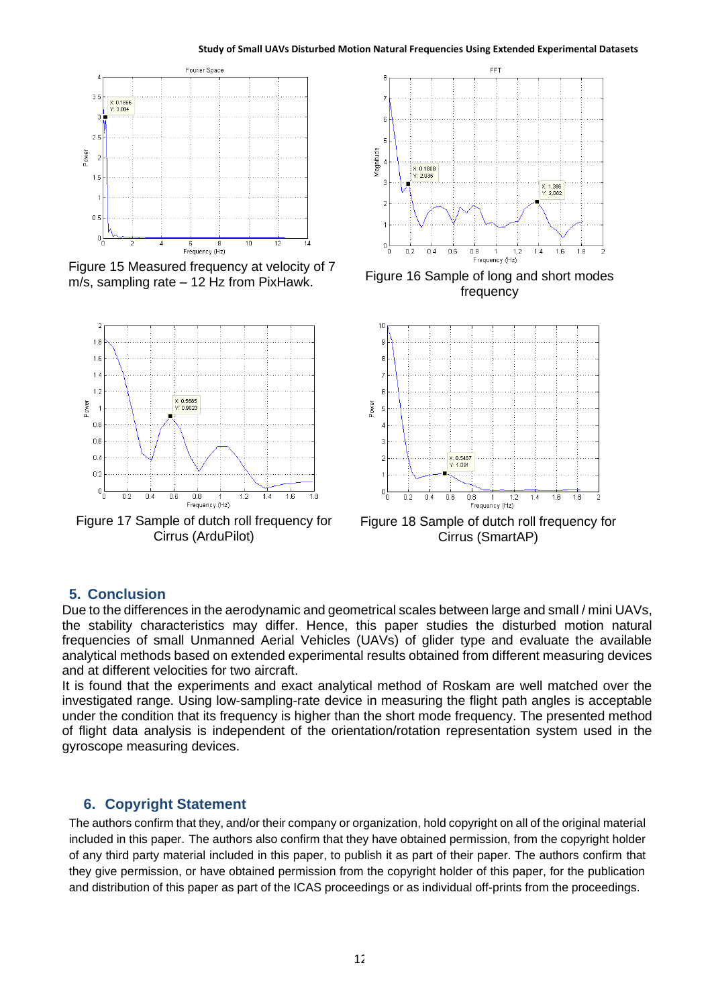

Figure 15 Measured frequency at velocity of 7 m/s, sampling rate – 12 Hz from PixHawk. Figure 16 Sample of long and short modes



Figure 17 Sample of dutch roll frequency for Cirrus (ArduPilot)



frequency



Figure 18 Sample of dutch roll frequency for Cirrus (SmartAP)

# **5. Conclusion**

Due to the differences in the aerodynamic and geometrical scales between large and small / mini UAVs, the stability characteristics may differ. Hence, this paper studies the disturbed motion natural frequencies of small Unmanned Aerial Vehicles (UAVs) of glider type and evaluate the available analytical methods based on extended experimental results obtained from different measuring devices and at different velocities for two aircraft.

It is found that the experiments and exact analytical method of Roskam are well matched over the investigated range. Using low-sampling-rate device in measuring the flight path angles is acceptable under the condition that its frequency is higher than the short mode frequency. The presented method of flight data analysis is independent of the orientation/rotation representation system used in the gyroscope measuring devices.

# **6. Copyright Statement**

The authors confirm that they, and/or their company or organization, hold copyright on all of the original material included in this paper. The authors also confirm that they have obtained permission, from the copyright holder of any third party material included in this paper, to publish it as part of their paper. The authors confirm that they give permission, or have obtained permission from the copyright holder of this paper, for the publication and distribution of this paper as part of the ICAS proceedings or as individual off-prints from the proceedings.